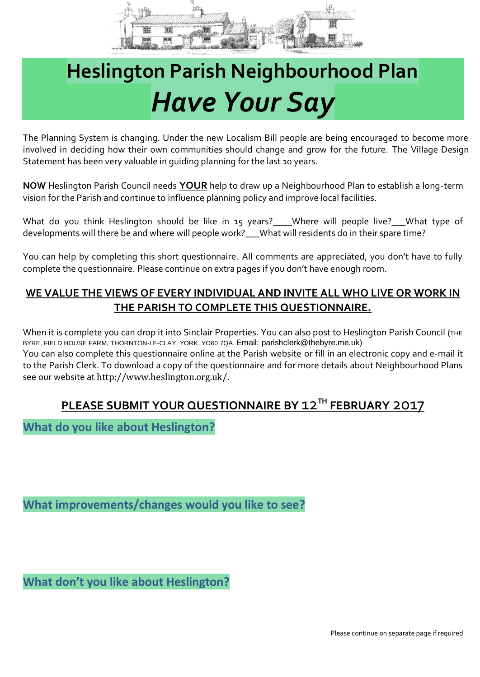

# **Heslington Parish Neighbourhood Plan** *Have Your Say*

The Planning System is changing. Under the new Localism Bill people are being encouraged to become more involved in deciding how their own communities should change and grow for the future. The Village Design Statement has been very valuable in guiding planning for the last 10 years.

**NOW** Heslington Parish Council needs **YOUR** help to draw up a Neighbourhood Plan to establish a long-term vision for the Parish and continue to influence planning policy and improve local facilities.

What do you think Heslington should be like in 15 years?\_\_\_\_Where will people live?\_\_\_What type of developments will there be and where will people work?\_\_\_What will residents do in their spare time?

You can help by completing this short questionnaire. All comments are appreciated, you don't have to fully complete the questionnaire. Please continue on extra pages if you don't have enough room.

#### **WE VALUE THE VIEWS OF EVERY INDIVIDUAL AND INVITE ALL WHO LIVE OR WORK IN THE PARISH TO COMPLETE THIS QUESTIONNAIRE.**

When it is complete you can drop it into Sinclair Properties. You can also post to Heslington Parish Council (THE BYRE, FIELD HOUSE FARM, THORNTON-LE-CLAY, YORK, YO60 7QA. Email: [parishclerk@thebyre.me.uk\)](mailto:parishclerk@thebyre.me.uk) You can also complete this questionnaire online at the Parish website or fill in an electronic copy and e-mail it to the Parish Clerk. To download a copy of the questionnaire and for more details about Neighbourhood Plans see our website at http://www.heslington.org.uk/.

## **PLEASE SUBMIT YOUR QUESTIONNAIRE BY** 12**TH FEBRUARY** 2017

**What do you like about Heslington?**

**What improvements/changes would you like to see?** 

**What don't you like about Heslington?**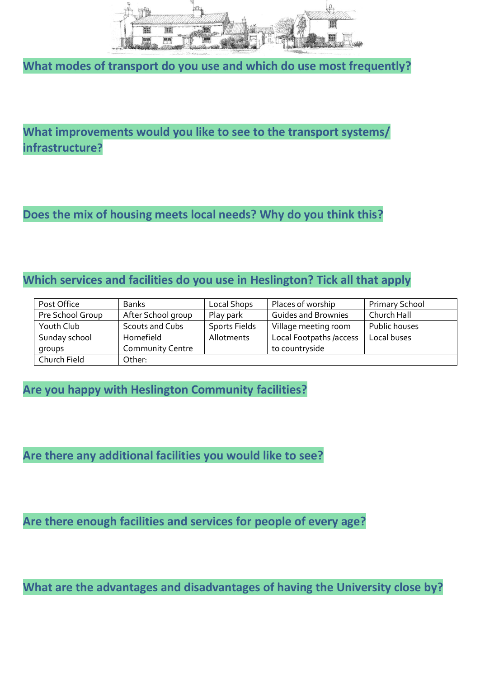

**What modes of transport do you use and which do use most frequently?**

**What improvements would you like to see to the transport systems/ infrastructure?**

**Does the mix of housing meets local needs? Why do you think this?**

### **Which services and facilities do you use in Heslington? Tick all that apply**

| Post Office      | <b>Banks</b>            | Local Shops          | Places of worship          | <b>Primary School</b> |
|------------------|-------------------------|----------------------|----------------------------|-----------------------|
| Pre School Group | After School group      | Play park            | <b>Guides and Brownies</b> | Church Hall           |
| Youth Club       | Scouts and Cubs         | <b>Sports Fields</b> | Village meeting room       | Public houses         |
| Sunday school    | Homefield               | Allotments           | Local Footpaths /access    | Local buses           |
| groups           | <b>Community Centre</b> |                      | to countryside             |                       |
| Church Field     | Other:                  |                      |                            |                       |

**Are you happy with Heslington Community facilities?** 

**Are there any additional facilities you would like to see?**

**Are there enough facilities and services for people of every age?** 

**What are the advantages and disadvantages of having the University close by?**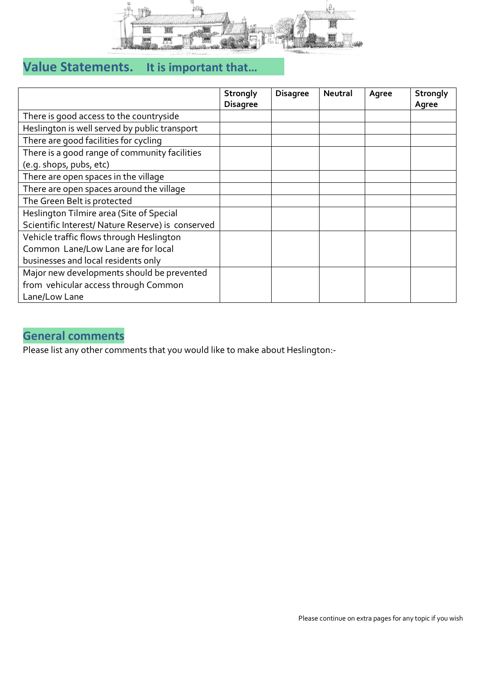

# **Value Statements. It is important that…**

|                                                   | <b>Strongly</b><br><b>Disagree</b> | <b>Disagree</b> | Neutral | Agree | <b>Strongly</b><br>Agree |
|---------------------------------------------------|------------------------------------|-----------------|---------|-------|--------------------------|
| There is good access to the countryside           |                                    |                 |         |       |                          |
| Heslington is well served by public transport     |                                    |                 |         |       |                          |
| There are good facilities for cycling             |                                    |                 |         |       |                          |
| There is a good range of community facilities     |                                    |                 |         |       |                          |
| (e.g. shops, pubs, etc)                           |                                    |                 |         |       |                          |
| There are open spaces in the village              |                                    |                 |         |       |                          |
| There are open spaces around the village          |                                    |                 |         |       |                          |
| The Green Belt is protected                       |                                    |                 |         |       |                          |
| Heslington Tilmire area (Site of Special          |                                    |                 |         |       |                          |
| Scientific Interest/ Nature Reserve) is conserved |                                    |                 |         |       |                          |
| Vehicle traffic flows through Heslington          |                                    |                 |         |       |                          |
| Common Lane/Low Lane are for local                |                                    |                 |         |       |                          |
| businesses and local residents only               |                                    |                 |         |       |                          |
| Major new developments should be prevented        |                                    |                 |         |       |                          |
| from vehicular access through Common              |                                    |                 |         |       |                          |
| Lane/Low Lane                                     |                                    |                 |         |       |                          |

# **General comments**

Please list any other comments that you would like to make about Heslington:-